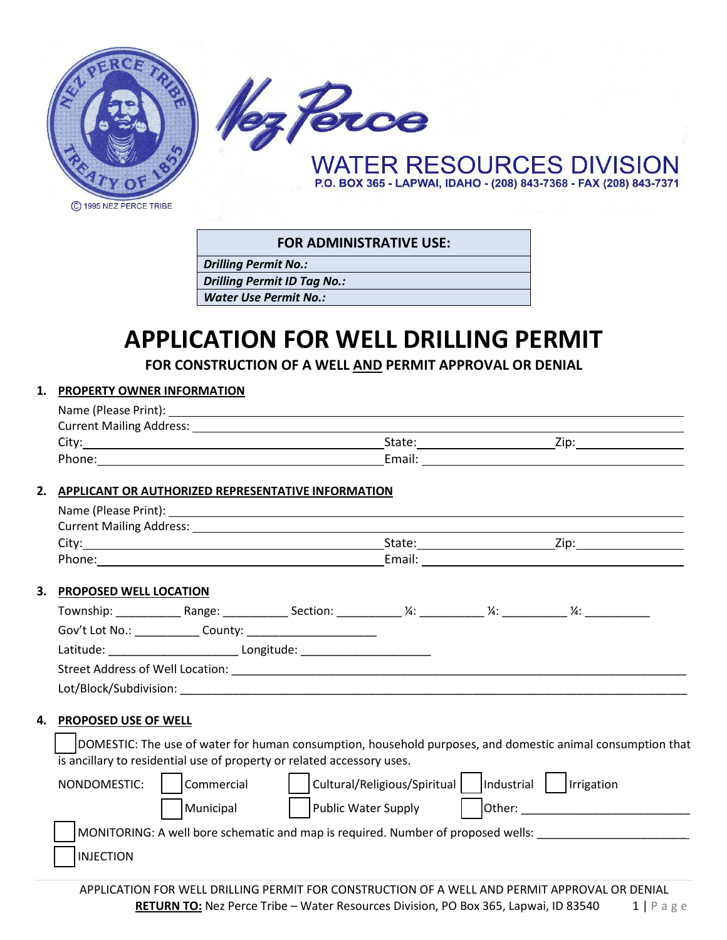



**FOR ADMINISTRATIVE USE:**

*Drilling Permit No.:*

*Drilling Permit ID Tag No.:*

*Water Use Permit No.:*

# **APPLICATION FOR WELL DRILLING PERMIT**

**FOR CONSTRUCTION OF A WELL AND PERMIT APPROVAL OR DENIAL**

#### **1. PROPERTY OWNER INFORMATION** Name (Please Print):

| <b>Current Mailing Address:</b> |      |  |  |  |  |  |  |
|---------------------------------|------|--|--|--|--|--|--|
| State:                          | Zip: |  |  |  |  |  |  |
| Email:                          |      |  |  |  |  |  |  |
|                                 |      |  |  |  |  |  |  |

# **2. APPLICANT OR AUTHORIZED REPRESENTATIVE INFORMATION**

|                                                                                                            | Current Mailing Address: Law March 2014 19:30 19:30 19:30 19:30 19:30 19:30 19:30 19:30 19:30 19:30 19:30 19:30 |                     |  |  |                                                                                                                                                                                                                                |  |  |
|------------------------------------------------------------------------------------------------------------|-----------------------------------------------------------------------------------------------------------------|---------------------|--|--|--------------------------------------------------------------------------------------------------------------------------------------------------------------------------------------------------------------------------------|--|--|
|                                                                                                            |                                                                                                                 |                     |  |  |                                                                                                                                                                                                                                |  |  |
|                                                                                                            |                                                                                                                 |                     |  |  |                                                                                                                                                                                                                                |  |  |
| 3.                                                                                                         | <b>PROPOSED WELL LOCATION</b>                                                                                   |                     |  |  |                                                                                                                                                                                                                                |  |  |
|                                                                                                            |                                                                                                                 |                     |  |  |                                                                                                                                                                                                                                |  |  |
|                                                                                                            |                                                                                                                 |                     |  |  |                                                                                                                                                                                                                                |  |  |
|                                                                                                            | Latitude: ___________________________________Longitude: ________________________                                |                     |  |  |                                                                                                                                                                                                                                |  |  |
|                                                                                                            |                                                                                                                 |                     |  |  |                                                                                                                                                                                                                                |  |  |
|                                                                                                            |                                                                                                                 |                     |  |  |                                                                                                                                                                                                                                |  |  |
| 4.                                                                                                         | <b>PROPOSED USE OF WELL</b>                                                                                     |                     |  |  |                                                                                                                                                                                                                                |  |  |
|                                                                                                            |                                                                                                                 |                     |  |  |                                                                                                                                                                                                                                |  |  |
| DOMESTIC: The use of water for human consumption, household purposes, and domestic animal consumption that |                                                                                                                 |                     |  |  |                                                                                                                                                                                                                                |  |  |
|                                                                                                            | is ancillary to residential use of property or related accessory uses.                                          |                     |  |  |                                                                                                                                                                                                                                |  |  |
|                                                                                                            | Commercial<br>NONDOMESTIC:                                                                                      |                     |  |  |                                                                                                                                                                                                                                |  |  |
|                                                                                                            | Municipal                                                                                                       | Public Water Supply |  |  | Other: New York Products and Contract Contract of the Contract of the Contract Oriental Contract Oriental Contract Oriental Contract Oriental Contract Oriental Contract Oriental Contract Oriental Contract Oriental Contract |  |  |
|                                                                                                            | MONITORING: A well bore schematic and map is required. Number of proposed wells:                                |                     |  |  |                                                                                                                                                                                                                                |  |  |
|                                                                                                            | <b>INJECTION</b>                                                                                                |                     |  |  |                                                                                                                                                                                                                                |  |  |
|                                                                                                            |                                                                                                                 |                     |  |  |                                                                                                                                                                                                                                |  |  |

APPLICATION FOR WELL DRILLING PERMIT FOR CONSTRUCTION OF A WELL AND PERMIT APPROVAL OR DENIAL **RETURN TO:** Nez Perce Tribe – Water Resources Division, PO Box 365, Lapwai, ID 83540 1 | Page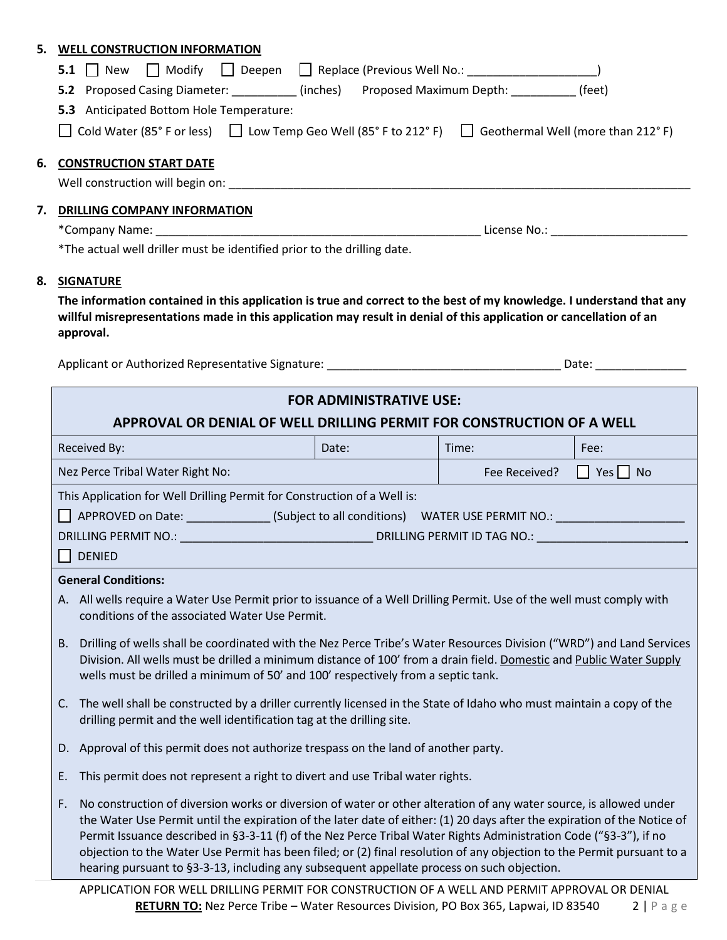| 5.                                  | <b>WELL CONSTRUCTION INFORMATION</b>                                                                                                                                                                                                        |                                |       |                                       |  |  |  |
|-------------------------------------|---------------------------------------------------------------------------------------------------------------------------------------------------------------------------------------------------------------------------------------------|--------------------------------|-------|---------------------------------------|--|--|--|
|                                     | 5.1 New □ Modify □ Deepen □ Replace (Previous Well No.: _______________________)                                                                                                                                                            |                                |       |                                       |  |  |  |
|                                     | 5.2 Proposed Casing Diameter: _________(inches) Proposed Maximum Depth: _________(feet)                                                                                                                                                     |                                |       |                                       |  |  |  |
|                                     | 5.3 Anticipated Bottom Hole Temperature:                                                                                                                                                                                                    |                                |       |                                       |  |  |  |
|                                     | Cold Water (85° F or less) $\Box$ Low Temp Geo Well (85° F to 212° F) $\Box$ Geothermal Well (more than 212° F)                                                                                                                             |                                |       |                                       |  |  |  |
| 6.                                  | <b>CONSTRUCTION START DATE</b>                                                                                                                                                                                                              |                                |       |                                       |  |  |  |
|                                     |                                                                                                                                                                                                                                             |                                |       |                                       |  |  |  |
| 7.                                  |                                                                                                                                                                                                                                             |                                |       |                                       |  |  |  |
| <b>DRILLING COMPANY INFORMATION</b> |                                                                                                                                                                                                                                             |                                |       |                                       |  |  |  |
|                                     | *The actual well driller must be identified prior to the drilling date.                                                                                                                                                                     |                                |       |                                       |  |  |  |
|                                     |                                                                                                                                                                                                                                             |                                |       |                                       |  |  |  |
| 8.                                  | <b>SIGNATURE</b>                                                                                                                                                                                                                            |                                |       |                                       |  |  |  |
|                                     | The information contained in this application is true and correct to the best of my knowledge. I understand that any<br>willful misrepresentations made in this application may result in denial of this application or cancellation of an  |                                |       |                                       |  |  |  |
|                                     | approval.                                                                                                                                                                                                                                   |                                |       |                                       |  |  |  |
|                                     |                                                                                                                                                                                                                                             |                                |       |                                       |  |  |  |
|                                     |                                                                                                                                                                                                                                             |                                |       |                                       |  |  |  |
|                                     |                                                                                                                                                                                                                                             | <b>FOR ADMINISTRATIVE USE:</b> |       |                                       |  |  |  |
|                                     | APPROVAL OR DENIAL OF WELL DRILLING PERMIT FOR CONSTRUCTION OF A WELL                                                                                                                                                                       |                                |       |                                       |  |  |  |
|                                     | Received By:                                                                                                                                                                                                                                | Date:                          | Time: | Fee:                                  |  |  |  |
|                                     | Nez Perce Tribal Water Right No:                                                                                                                                                                                                            |                                |       | Fee Received?<br>$\Box$ Yes $\Box$ No |  |  |  |
|                                     | This Application for Well Drilling Permit for Construction of a Well is:                                                                                                                                                                    |                                |       |                                       |  |  |  |
|                                     | APPROVED on Date: _______________(Subject to all conditions) WATER USE PERMIT NO.: ___________________________                                                                                                                              |                                |       |                                       |  |  |  |
|                                     |                                                                                                                                                                                                                                             |                                |       |                                       |  |  |  |
|                                     | DENIED                                                                                                                                                                                                                                      |                                |       |                                       |  |  |  |
|                                     | <b>General Conditions:</b>                                                                                                                                                                                                                  |                                |       |                                       |  |  |  |
|                                     | A. All wells require a Water Use Permit prior to issuance of a Well Drilling Permit. Use of the well must comply with<br>conditions of the associated Water Use Permit.                                                                     |                                |       |                                       |  |  |  |
|                                     | Drilling of wells shall be coordinated with the Nez Perce Tribe's Water Resources Division ("WRD") and Land Services<br>В.                                                                                                                  |                                |       |                                       |  |  |  |
|                                     | Division. All wells must be drilled a minimum distance of 100' from a drain field. Domestic and Public Water Supply                                                                                                                         |                                |       |                                       |  |  |  |
|                                     | wells must be drilled a minimum of 50' and 100' respectively from a septic tank.                                                                                                                                                            |                                |       |                                       |  |  |  |
|                                     | The well shall be constructed by a driller currently licensed in the State of Idaho who must maintain a copy of the<br>C.                                                                                                                   |                                |       |                                       |  |  |  |
|                                     | drilling permit and the well identification tag at the drilling site.                                                                                                                                                                       |                                |       |                                       |  |  |  |
|                                     | D. Approval of this permit does not authorize trespass on the land of another party.                                                                                                                                                        |                                |       |                                       |  |  |  |
|                                     | This permit does not represent a right to divert and use Tribal water rights.<br>Ε.                                                                                                                                                         |                                |       |                                       |  |  |  |
|                                     | No construction of diversion works or diversion of water or other alteration of any water source, is allowed under<br>F.                                                                                                                    |                                |       |                                       |  |  |  |
|                                     | the Water Use Permit until the expiration of the later date of either: (1) 20 days after the expiration of the Notice of                                                                                                                    |                                |       |                                       |  |  |  |
|                                     | Permit Issuance described in §3-3-11 (f) of the Nez Perce Tribal Water Rights Administration Code ("§3-3"), if no<br>objection to the Water Use Permit has been filed; or (2) final resolution of any objection to the Permit pursuant to a |                                |       |                                       |  |  |  |
|                                     | hearing pursuant to §3-3-13, including any subsequent appellate process on such objection.                                                                                                                                                  |                                |       |                                       |  |  |  |
|                                     | ADDLICATION EOD WELL DRILLING REDNAIT EOR CONSTRUCTION OF A WELL AND REDNAIT ARROGAVAL OR DENIAL                                                                                                                                            |                                |       |                                       |  |  |  |